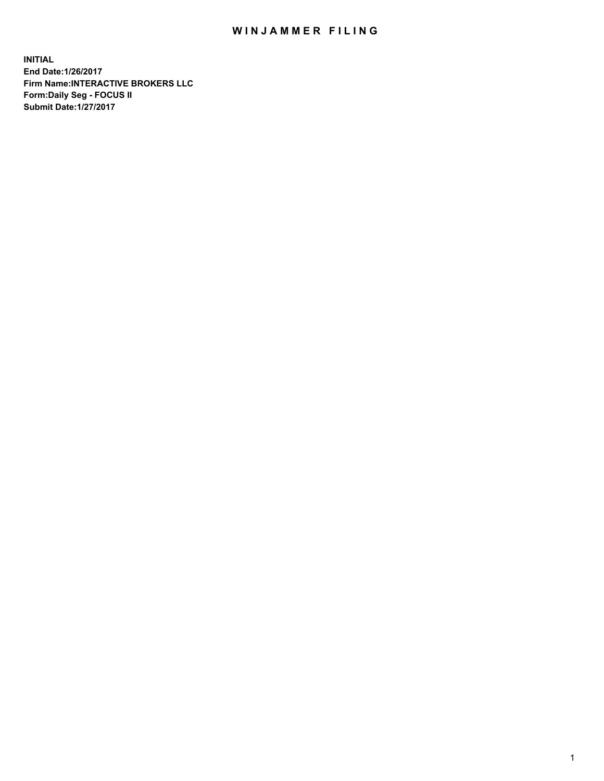## WIN JAMMER FILING

**INITIAL End Date:1/26/2017 Firm Name:INTERACTIVE BROKERS LLC Form:Daily Seg - FOCUS II Submit Date:1/27/2017**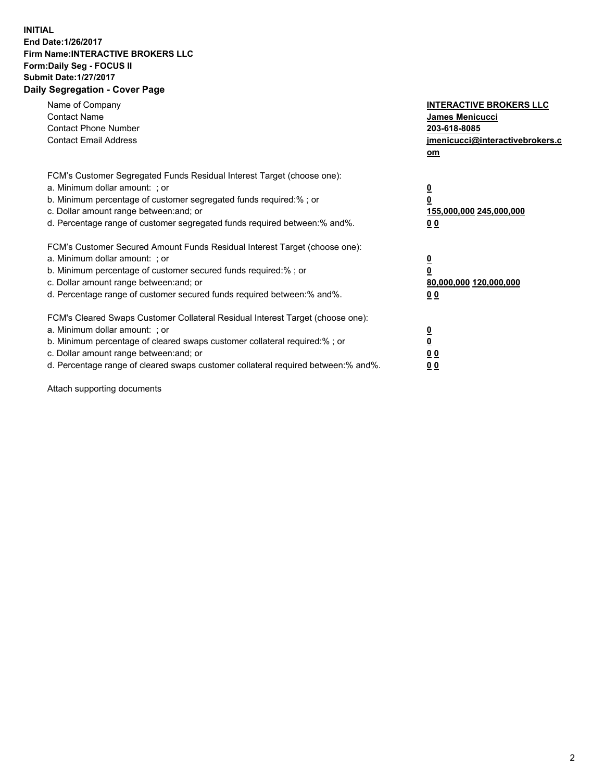## **INITIAL End Date:1/26/2017 Firm Name:INTERACTIVE BROKERS LLC Form:Daily Seg - FOCUS II Submit Date:1/27/2017 Daily Segregation - Cover Page**

| Name of Company<br><b>Contact Name</b><br><b>Contact Phone Number</b><br><b>Contact Email Address</b>                                                                                                                                                                                                                          | <b>INTERACTIVE BROKERS LLC</b><br>James Menicucci<br>203-618-8085<br><u>jmenicucci@interactivebrokers.c</u><br>om |
|--------------------------------------------------------------------------------------------------------------------------------------------------------------------------------------------------------------------------------------------------------------------------------------------------------------------------------|-------------------------------------------------------------------------------------------------------------------|
| FCM's Customer Segregated Funds Residual Interest Target (choose one):<br>a. Minimum dollar amount: ; or<br>b. Minimum percentage of customer segregated funds required:%; or<br>c. Dollar amount range between: and; or<br>d. Percentage range of customer segregated funds required between:% and%.                          | $\overline{\mathbf{0}}$<br>0<br>155,000,000 245,000,000<br>0 <sub>0</sub>                                         |
| FCM's Customer Secured Amount Funds Residual Interest Target (choose one):<br>a. Minimum dollar amount: ; or<br>b. Minimum percentage of customer secured funds required:%; or<br>c. Dollar amount range between: and; or<br>d. Percentage range of customer secured funds required between:% and%.                            | $\overline{\mathbf{0}}$<br>$\overline{\mathbf{0}}$<br>80,000,000 120,000,000<br>00                                |
| FCM's Cleared Swaps Customer Collateral Residual Interest Target (choose one):<br>a. Minimum dollar amount: ; or<br>b. Minimum percentage of cleared swaps customer collateral required:% ; or<br>c. Dollar amount range between: and; or<br>d. Percentage range of cleared swaps customer collateral required between:% and%. | $\overline{\mathbf{0}}$<br>$\overline{\mathbf{0}}$<br>0 <sub>0</sub><br><u>00</u>                                 |

Attach supporting documents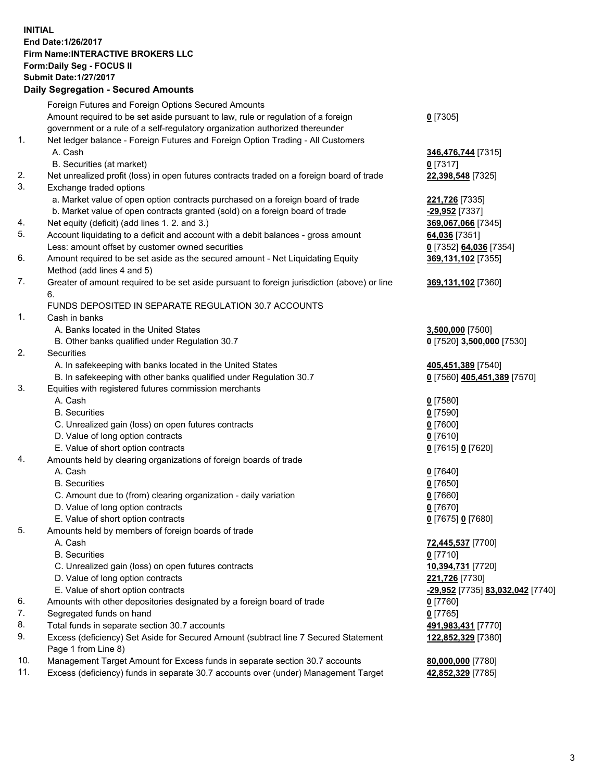## **INITIAL End Date:1/26/2017 Firm Name:INTERACTIVE BROKERS LLC Form:Daily Seg - FOCUS II Submit Date:1/27/2017**

## **Daily Segregation - Secured Amounts** Foreign Futures and Foreign Options Secured Amounts Amount required to be set aside pursuant to law, rule or regulation of a foreign government or a rule of a self-regulatory organization authorized thereunder **0** [7305] 1. Net ledger balance - Foreign Futures and Foreign Option Trading - All Customers A. Cash **346,476,744** [7315] B. Securities (at market) **0** [7317] 2. Net unrealized profit (loss) in open futures contracts traded on a foreign board of trade **22,398,548** [7325] 3. Exchange traded options a. Market value of open option contracts purchased on a foreign board of trade **221,726** [7335] b. Market value of open contracts granted (sold) on a foreign board of trade **-29,952** [7337] 4. Net equity (deficit) (add lines 1. 2. and 3.) **369,067,066** [7345] 5. Account liquidating to a deficit and account with a debit balances - gross amount **64,036** [7351] Less: amount offset by customer owned securities **0** [7352] **64,036** [7354] 6. Amount required to be set aside as the secured amount - Net Liquidating Equity Method (add lines 4 and 5) **369,131,102** [7355] 7. Greater of amount required to be set aside pursuant to foreign jurisdiction (above) or line 6. **369,131,102** [7360] FUNDS DEPOSITED IN SEPARATE REGULATION 30.7 ACCOUNTS 1. Cash in banks A. Banks located in the United States **3,500,000** [7500] B. Other banks qualified under Regulation 30.7 **0** [7520] **3,500,000** [7530] 2. Securities A. In safekeeping with banks located in the United States **405,451,389** [7540] B. In safekeeping with other banks qualified under Regulation 30.7 **0** [7560] **405,451,389** [7570] 3. Equities with registered futures commission merchants A. Cash **0** [7580] B. Securities **0** [7590] C. Unrealized gain (loss) on open futures contracts **0** [7600] D. Value of long option contracts **0** [7610] E. Value of short option contracts **0** [7615] **0** [7620] 4. Amounts held by clearing organizations of foreign boards of trade A. Cash **0** [7640] B. Securities **0** [7650] C. Amount due to (from) clearing organization - daily variation **0** [7660] D. Value of long option contracts **0** [7670] E. Value of short option contracts **0** [7675] **0** [7680] 5. Amounts held by members of foreign boards of trade A. Cash **72,445,537** [7700] B. Securities **0** [7710] C. Unrealized gain (loss) on open futures contracts **10,394,731** [7720] D. Value of long option contracts **221,726** [7730] E. Value of short option contracts **-29,952** [7735] **83,032,042** [7740] 6. Amounts with other depositories designated by a foreign board of trade **0** [7760] 7. Segregated funds on hand **0** [7765] 8. Total funds in separate section 30.7 accounts **491,983,431** [7770] 9. Excess (deficiency) Set Aside for Secured Amount (subtract line 7 Secured Statement Page 1 from Line 8) **122,852,329** [7380] 10. Management Target Amount for Excess funds in separate section 30.7 accounts **80,000,000** [7780]

11. Excess (deficiency) funds in separate 30.7 accounts over (under) Management Target **42,852,329** [7785]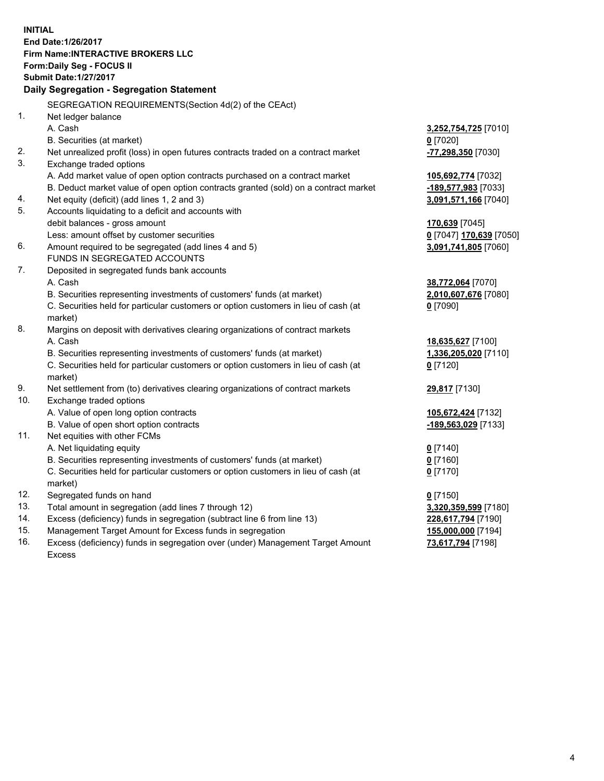**INITIAL End Date:1/26/2017 Firm Name:INTERACTIVE BROKERS LLC Form:Daily Seg - FOCUS II Submit Date:1/27/2017 Daily Segregation - Segregation Statement** SEGREGATION REQUIREMENTS(Section 4d(2) of the CEAct) 1. Net ledger balance A. Cash **3,252,754,725** [7010] B. Securities (at market) **0** [7020] 2. Net unrealized profit (loss) in open futures contracts traded on a contract market **-77,298,350** [7030] 3. Exchange traded options A. Add market value of open option contracts purchased on a contract market **105,692,774** [7032] B. Deduct market value of open option contracts granted (sold) on a contract market **-189,577,983** [7033] 4. Net equity (deficit) (add lines 1, 2 and 3) **3,091,571,166** [7040] 5. Accounts liquidating to a deficit and accounts with debit balances - gross amount **170,639** [7045] Less: amount offset by customer securities **0** [7047] **170,639** [7050] 6. Amount required to be segregated (add lines 4 and 5) **3,091,741,805** [7060] FUNDS IN SEGREGATED ACCOUNTS 7. Deposited in segregated funds bank accounts A. Cash **38,772,064** [7070] B. Securities representing investments of customers' funds (at market) **2,010,607,676** [7080] C. Securities held for particular customers or option customers in lieu of cash (at market) **0** [7090] 8. Margins on deposit with derivatives clearing organizations of contract markets A. Cash **18,635,627** [7100] B. Securities representing investments of customers' funds (at market) **1,336,205,020** [7110] C. Securities held for particular customers or option customers in lieu of cash (at market) **0** [7120] 9. Net settlement from (to) derivatives clearing organizations of contract markets **29,817** [7130] 10. Exchange traded options A. Value of open long option contracts **105,672,424** [7132] B. Value of open short option contracts **-189,563,029** [7133] 11. Net equities with other FCMs A. Net liquidating equity **0** [7140] B. Securities representing investments of customers' funds (at market) **0** [7160] C. Securities held for particular customers or option customers in lieu of cash (at market) **0** [7170] 12. Segregated funds on hand **0** [7150] 13. Total amount in segregation (add lines 7 through 12) **3,320,359,599** [7180] 14. Excess (deficiency) funds in segregation (subtract line 6 from line 13) **228,617,794** [7190] 15. Management Target Amount for Excess funds in segregation **155,000,000** [7194] **73,617,794** [7198]

16. Excess (deficiency) funds in segregation over (under) Management Target Amount Excess